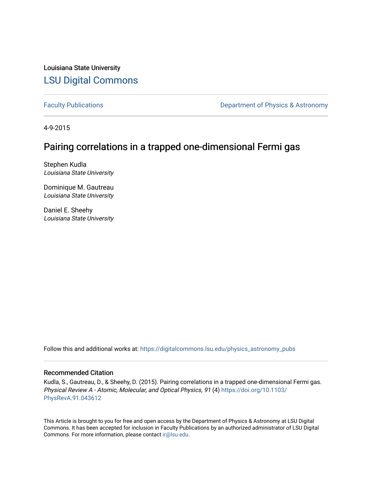Louisiana State University [LSU Digital Commons](https://digitalcommons.lsu.edu/)

[Faculty Publications](https://digitalcommons.lsu.edu/physics_astronomy_pubs) **Exercise 2 and Table 2 and Table 2 and Table 2 and Table 2 and Table 2 and Table 2 and Table 2 and Table 2 and Table 2 and Table 2 and Table 2 and Table 2 and Table 2 and Table 2 and Table 2 and Table** 

4-9-2015

### Pairing correlations in a trapped one-dimensional Fermi gas

Stephen Kudla Louisiana State University

Dominique M. Gautreau Louisiana State University

Daniel E. Sheehy Louisiana State University

Follow this and additional works at: [https://digitalcommons.lsu.edu/physics\\_astronomy\\_pubs](https://digitalcommons.lsu.edu/physics_astronomy_pubs?utm_source=digitalcommons.lsu.edu%2Fphysics_astronomy_pubs%2F4980&utm_medium=PDF&utm_campaign=PDFCoverPages) 

#### Recommended Citation

Kudla, S., Gautreau, D., & Sheehy, D. (2015). Pairing correlations in a trapped one-dimensional Fermi gas. Physical Review A - Atomic, Molecular, and Optical Physics, 91 (4) [https://doi.org/10.1103/](https://doi.org/10.1103/PhysRevA.91.043612) [PhysRevA.91.043612](https://doi.org/10.1103/PhysRevA.91.043612) 

This Article is brought to you for free and open access by the Department of Physics & Astronomy at LSU Digital Commons. It has been accepted for inclusion in Faculty Publications by an authorized administrator of LSU Digital Commons. For more information, please contact [ir@lsu.edu](mailto:ir@lsu.edu).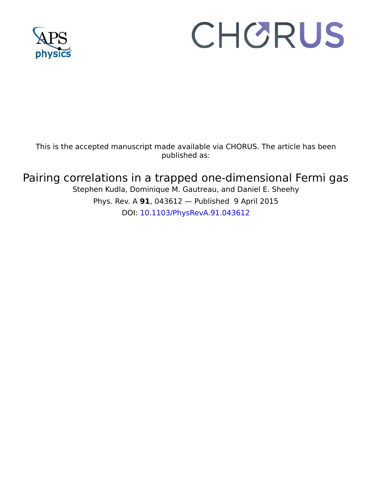

# CHORUS

This is the accepted manuscript made available via CHORUS. The article has been published as:

## Pairing correlations in a trapped one-dimensional Fermi gas

Stephen Kudla, Dominique M. Gautreau, and Daniel E. Sheehy Phys. Rev. A **91**, 043612 — Published 9 April 2015 DOI: [10.1103/PhysRevA.91.043612](http://dx.doi.org/10.1103/PhysRevA.91.043612)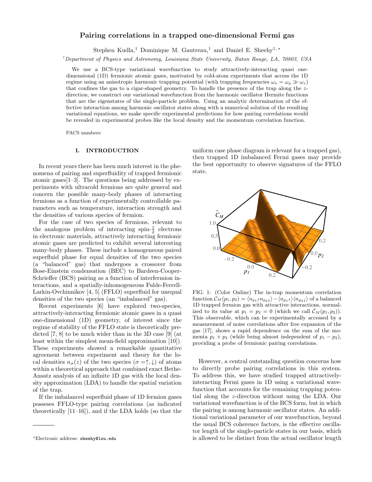#### Pairing correlations in a trapped one-dimensional Fermi gas

Stephen Kudla,<sup>1</sup> Dominique M. Gautreau,<sup>1</sup> and Daniel E. Sheehy<sup>1,\*</sup>

 $1$ Department of Physics and Astronomy, Louisiana State University, Baton Rouge, LA, 70803, USA

We use a BCS-type variational wavefunction to study attractively-interacting quasi onedimensional (1D) fermionic atomic gases, motivated by cold-atom experiments that access the 1D regime using an anisotropic harmonic trapping potential (with trapping frequencies  $\omega_x = \omega_y \gg \omega_z$ ) that confines the gas to a cigar-shaped geometry. To handle the presence of the trap along the zdirection, we construct our variational wavefunction from the harmonic oscillator Hermite functions that are the eigenstates of the single-particle problem. Using an analytic determination of the effective interaction among harmonic oscillator states along with a numerical solution of the resulting variational equations, we make specific experimental predictions for how pairing correlations would be revealed in experimental probes like the local density and the momentum correlation function.

PACS numbers:

#### I. INTRODUCTION

In recent years there has been much interest in the phenomena of pairing and superfluidity of trapped fermionic atomic gases[1–3]. The questions being addressed by experiments with ultracold fermions are quite general and concern the possible many-body phases of interacting fermions as a function of experimentally controllable parameters such as temperature, interaction strength and the densities of various species of fermion.

For the case of two species of fermions, relevant to the analogous problem of interacting spin- $\frac{1}{2}$  electrons in electronic materials, attractively interacting fermionic atomic gases are predicted to exhibit several interesting many-body phases. These include a homogeneous paired superfluid phase for equal densities of the two species (a "balanced" gas) that undergoes a crossover from Bose-Einstein condensation (BEC) to Bardeen-Cooper-Schrieffer (BCS) pairing as a function of interfermion interactions, and a spatially-inhomogeneous Fulde-Ferrell-Larkin-Ovchinnikov [4, 5] (FFLO) superfluid for unequal densities of the two species (an "imbalanced" gas).

Recent experiments [6] have explored two-species, attractively-interacting fermionic atomic gases in a quasi one-dimensional (1D) geometry, of interest since the regime of stability of the FFLO state is theoretically predicted [7, 8] to be much wider than in the 3D case [9] (at least within the simplest mean-field approximation [10]). These experiments showed a remarkable quantitative agreement between experiment and theory for the local densities  $n_{\sigma}(z)$  of the two species  $(\sigma = \uparrow, \downarrow)$  of atoms within a theoretical approach that combined exact Bethe-Ansatz analysis of an infinite 1D gas with the local density approximation (LDA) to handle the spatial variation of the trap.

If the imbalanced superfluid phase of 1D fermion gases posseses FFLO-type pairing correlations (as indicated theoretically [11–16]), and if the LDA holds (so that the uniform case phase diagram is relevant for a trapped gas), then trapped 1D imbalanced Fermi gases may provide the best opportunity to observe signatures of the FFLO state.



FIG. 1: (Color Online) The in-trap momentum correlation function  $C_M(p_1, p_2) = \langle n_{p_1\uparrow}n_{p_2\downarrow} \rangle - \langle n_{p_1\uparrow} \rangle \langle n_{p_2\downarrow} \rangle$  of a balanced 1D trapped fermion gas with attractive interactions, normalized to its value at  $p_1 = p_2 = 0$  (which we call  $\mathcal{C}_M(p_1, p_2)$ ). This observable, which can be experimentally accessed by a measurement of noise correlations after free expansion of the gas [17], shows a rapid dependence on the sum of the momenta  $p_1 + p_2$  (while being almost independent of  $p_1 - p_2$ ), providing a probe of fermionic pairing correlations.

However, a central outstanding question concerns how to directly probe pairing correlations in this system. To address this, we have studied trapped attractivelyinteracting Fermi gases in 1D using a variational wavefunction that accounts for the remaining trapping potential along the z-direction without using the LDA. Our variational wavefunction is of the BCS form, but in which the pairing is among harmonic oscillator states. An additional variational parameter of our wavefunction, beyond the usual BCS coherence factors, is the effective oscillator length of the single-particle states in our basis, which is allowed to be distinct from the actual oscillator length

<sup>∗</sup>Electronic address: sheehy@lsu.edu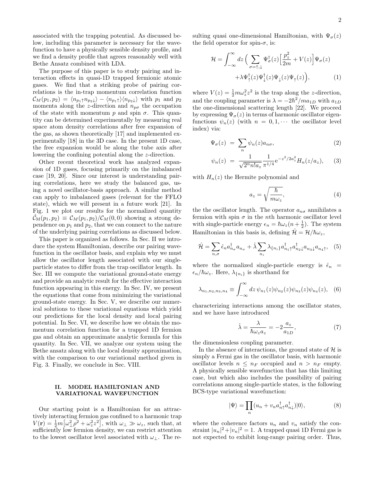associated with the trapping potential. As discussed below, including this parameter is necessary for the wavefunction to have a physically sensible density profile, and we find a density profile that agrees reasonably well with Bethe Ansatz combined with LDA.

The purpose of this paper is to study pairing and interaction effects in quasi-1D trapped fermionic atomic gases. We find that a striking probe of pairing correlations is the in-trap momentum correlation function  $\mathcal{C}_M(p_1, p_2) = \langle n_{p_1\uparrow} n_{p_2\downarrow} \rangle - \langle n_{p_1\uparrow} \rangle \langle n_{p_2\downarrow} \rangle$  with  $p_1$  and  $p_2$ momenta along the z-direction and  $n_{p\sigma}$  the occupation of the state with momentum p and spin  $\sigma$ . This quantity can be determined experimentally by measuring real space atom density correlations after free expansion of the gas, as shown theoretically [17] and implemented experimentally [18] in the 3D case. In the present 1D case, the free expansion would be along the tube axis after lowering the confining potential along the z-direction.

Other recent theoretical work has analyzed expansion of 1D gases, focusing primarily on the imbalanced case [19, 20]. Since our interest is understanding pairing correlations, here we study the balanced gas, using a novel oscillator-basis approach. A similar method can apply to imbalanced gases (relevant for the FFLO state), which we will present in a future work [21]. In Fig. 1 we plot our results for the normalized quantity  $\mathcal{C}_{M}(p_1, p_2) \equiv \mathcal{C}_{M}(p_1, p_2)/\mathcal{C}_{M}(0, 0)$  showing a strong dependence on  $p_1$  and  $p_2$ , that we can connect to the nature of the underlying pairing correlations as discussed below.

This paper is organized as follows. In Sec. II we introduce the system Hamiltonian, describe our pairing wavefunction in the oscillator basis, and explain why we must allow the oscillator length associated with our singleparticle states to differ from the trap oscillator length. In Sec. III we compute the variational ground-state energy and provide an analytic result for the effective interaction function appearing in this energy. In Sec. IV, we present the equations that come from minimizing the variational ground-state energy. In Sec. V, we describe our numerical solutions to these variational equations which yield our predictions for the local density and local pairing potential. In Sec. VI, we describe how we obtain the momentum correlation function for a trapped 1D fermion gas and obtain an approximate analytic formula for this quantity. In Sec. VII, we analyze our system using the Bethe ansatz along with the local density approximation, with the comparison to our variational method given in Fig. 3. Finally, we conclude in Sec. VIII.

#### II. MODEL HAMILTONIAN AND VARIATIONAL WAVEFUNCTION

Our starting point is a Hamiltonian for an attractively interacting fermion gas confined to a harmonic trap  $V(\mathbf{r}) = \frac{1}{2}m\left[\omega_{\perp}^{2}\rho^{2} + \omega_{z}^{2}z^{2}\right],$  with  $\omega_{\perp} \gg \omega_{z}$ , such that, at sufficiently low fermion density, we can restrict attention to the lowest oscillator level associated with  $\omega_{\perp}$ . The resulting quasi one-dimensional Hamiltonian, with  $\Psi_{\sigma}(z)$ the field operator for spin- $\sigma$ , is:

$$
\mathcal{H} = \int_{-\infty}^{\infty} dz \left( \sum_{\sigma=\uparrow,\downarrow} \Psi_{\sigma}^{\dagger}(z) \left[ \frac{p_z^2}{2m} + V(z) \right] \Psi_{\sigma}(z) + \lambda \Psi_{\uparrow}^{\dagger}(z) \Psi_{\downarrow}(z) \Psi_{\downarrow}(z) \Psi_{\uparrow}(z) \right), \tag{1}
$$

where  $V(z) = \frac{1}{2}m\omega_z^2 z^2$  is the trap along the *z*-direction, and the coupling parameter is  $\lambda = -2\hbar^2 / ma_{1D}$  with  $a_{1D}$ the one-dimensional scattering length [22]. We proceed by expressing  $\Psi_{\sigma}(z)$  in terms of harmonic oscillator eigenfunctions  $\psi_n(z)$  (with  $n = 0, 1, \cdots$  the oscillator level index) via:

$$
\Psi_{\sigma}(z) = \sum_{n} \psi_n(z) a_{n\sigma}, \tag{2}
$$

$$
\psi_n(z) = \frac{1}{\sqrt{2^n n! a_z}} \frac{1}{\pi^{1/4}} e^{-z^2/2 a_z^2} H_n(z/a_z), \quad (3)
$$

with  $H_n(z)$  the Hermite polynomial and

$$
a_z = \sqrt{\frac{\hbar}{m\omega_z}},\tag{4}
$$

the the oscillator length. The operator  $a_{n\sigma}$  annihilates a fermion with spin  $\sigma$  in the *n*th harmonic oscillator level with single-particle energy  $\epsilon_n = \hbar \omega_z(n + \frac{1}{2})$ . The system Hamiltonian in this basis is, defining  $\mathcal{\hat{H}} = \mathcal{H}/\hbar\omega_z$ ,

$$
\hat{\mathcal{H}} = \sum_{n,\sigma} \hat{\epsilon}_n a_{n_\sigma}^\dagger a_{n_\sigma} + \hat{\lambda} \sum_{n_i} \lambda_{\{n_i\}} a_{n_1 \uparrow}^\dagger a_{n_2 \downarrow}^\dagger a_{n_3 \downarrow} a_{n_4 \uparrow}, \tag{5}
$$

where the normalized single-particle energy is  $\hat{\epsilon}_n$  =  $\epsilon_n/\hbar\omega_z$ . Here,  $\lambda_{\{n_i\}}$  is shorthand for

$$
\lambda_{n_1, n_2, n_3, n_4} \equiv \int_{-\infty}^{\infty} dz \, \psi_{n_1}(z) \psi_{n_2}(z) \psi_{n_3}(z) \psi_{n_4}(z), \quad (6)
$$

characterizing interactions among the oscillator states, and we have have introduced

$$
\hat{\lambda} = \frac{\lambda}{\hbar \omega_z a_z} = -2 \frac{a_z}{a_{1D}},\tag{7}
$$

the dimensionless coupling parameter.

In the absence of interactions, the ground state of  $\mathcal{H}$  is simply a Fermi gas in the oscillator basis, with harmonic oscillator levels  $n \leq n_F$  occupied and  $n > n_F$  empty. A physically sensible wavefunction that has this limiting case, but which also includes the possibility of pairing correlations among single-particle states, is the following BCS-type variational wavefunction:

$$
|\Psi\rangle = \prod_{n} (u_n + v_n a_{n\uparrow}^\dagger a_{n\downarrow}^\dagger)|0\rangle, \tag{8}
$$

where the coherence factors  $u_n$  and  $v_n$  satisfy the constraint  $|u_n|^2 + |v_n|^2 = 1$ . A trapped quasi 1D Fermi gas is not expected to exhibit long-range pairing order. Thus,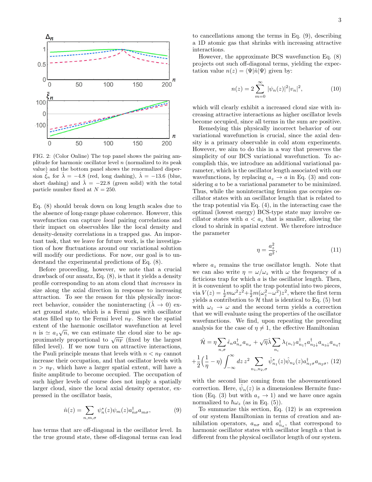

FIG. 2: (Color Online) The top panel shows the pairing amplitude for harmonic oscillator level  $n$  (normalized to its peak value) and the bottom panel shows the renormalized dispersion  $\xi_n$  for  $\lambda = -4.8$  (red, long dashing),  $\lambda = -13.6$  (blue, short dashing) and  $\lambda = -22.8$  (green solid) with the total particle number fixed at  $N = 250$ .

Eq. (8) should break down on long length scales due to the absence of long-range phase coherence. However, this wavefunction can capture *local* pairing correlations and their impact on observables like the local density and density-density correlations in a trapped gas. An important task, that we leave for future work, is the investigation of how fluctuations around our variational solution will modify our predictions. For now, our goal is to understand the experimental predictions of Eq. (8).

Before proceeding, however, we note that a crucial drawback of our ansatz, Eq. (8), is that it yields a density profile corresponding to an atom cloud that increases in size along the axial direction in response to increasing attraction. To see the reason for this physically incorrect behavior, consider the noninteracting  $(\lambda \rightarrow 0)$  exact ground state, which is a Fermi gas with oscillator states filled up to the Fermi level  $n_F$ . Since the spatial extent of the harmonic oscillator wavefunction at level  $n$  is  $\simeq a_z\sqrt{n}$ , we can estimate the cloud size to be ap $n$  is  $\cong a_z \sqrt{n}$ , we can estimate the cloud size to be approximately proportional to  $\sqrt{n_{\rm F}}$  (fixed by the largest filled level). If we now turn on attractive interactions, the Pauli principle means that levels with  $n < n_F$  cannot increase their occupation, and that oscillator levels with  $n > n<sub>F</sub>$ , which have a larger spatial extent, will have a finite amplitude to become occupied. The occupation of such higher levels of course does not imply a spatially larger cloud, since the local axial density operator, expressed in the oscillator basis,

$$
\hat{n}(z) = \sum_{n,m,\sigma} \psi_n^*(z)\psi_m(z)a_{n\sigma}^\dagger a_{m\sigma},\tag{9}
$$

has terms that are off-diagonal in the oscillator level. In the true ground state, these off-diagonal terms can lead

to cancellations among the terms in Eq. (9), describing a 1D atomic gas that shrinks with increasing attractive interactions.

However, the approximate BCS wavefunction Eq. (8) projects out such off-diagonal terms, yielding the expectation value  $n(z) = \langle \Psi | \hat{n} | \Psi \rangle$  given by:

$$
n(z) = 2 \sum_{m=0}^{\infty} |\psi_n(z)|^2 |v_n|^2,
$$
 (10)

which will clearly exhibit a increased cloud size with increasing attractive interactions as higher oscillator levels become occupied, since all terms in the sum are positive.

Remedying this physically incorrect behavior of our variational wavefunction is crucial, since the axial density is a primary observable in cold atom experiments. However, we aim to do this in a way that preserves the simplicity of our BCS variational wavefunction. To accomplish this, we introduce an additional variational parameter, which is the oscillator length associated with our wavefunctions, by replacing  $a_z \rightarrow a$  in Eq. (3) and considering a to be a variational parameter to be minimized. Thus, while the noninteracting fermion gas occupies oscillator states with an oscillator length that is related to the trap potential via Eq. (4), in the interacting case the optimal (lowest energy) BCS-type state may involve oscillator states with  $a < a_z$  that is smaller, allowing the cloud to shrink in spatial extent. We therefore introduce the parameter

$$
\eta = \frac{a_z^2}{a^2},\tag{11}
$$

where  $a_z$  remains the true oscillator length. Note that we can also write  $\eta = \omega/\omega_z$  with  $\omega$  the frequency of a ficticious trap for which  $a$  is the oscillator length. Then, it is convenient to split the trap potential into two pieces, via  $V(z) = \frac{1}{2}m\omega^2 z^2 + \frac{1}{2}m(\omega_z^2 - \omega^2)z^2$ , where the first term yields a contribution to  $H$  that is identical to Eq. (5) but with  $\omega_z \rightarrow \omega$  and the second term yields a correction that we will evaluate using the properties of the oscillator wavefunctions. We find, upon repeating the preceding analysis for the case of  $\eta \neq 1$ , the effective Hamiltonian

$$
\hat{\mathcal{H}} = \eta \sum_{n,\sigma} \hat{\epsilon}_n a_{n_\sigma}^\dagger a_{n_\sigma} + \sqrt{\eta} \hat{\lambda} \sum_{n_i} \lambda_{\{n_i\}} a_{n_1}^\dagger a_{n_2}^\dagger a_{n_3} a_{n_4} + \frac{1}{2} \left( \frac{1}{\eta} - \eta \right) \int_{-\infty}^{\infty} dz \, z^2 \sum_{n_1, n_2, \sigma} \hat{\psi}_{n_1}^*(z) \hat{\psi}_{n_2}(z) a_{n_1 \sigma}^\dagger a_{n_2 \sigma}, \tag{12}
$$

with the second line coming from the abovementioned correction. Here,  $\hat{\psi}_n(z)$  is a dimensionless Hermite function (Eq. (3) but with  $a_z \rightarrow 1$ ) and we have once again normalized to  $\hbar\omega_z$  (as in Eq. (5)).

To summarize this section, Eq. (12) is an expression of our system Hamiltonian in terms of creation and annihilation operators,  $a_{n\sigma}$  and  $a_{n\sigma}^{\dagger}$ , that correspond to harmonic oscillator states with oscillator length a that is different from the physical oscillator length of our system.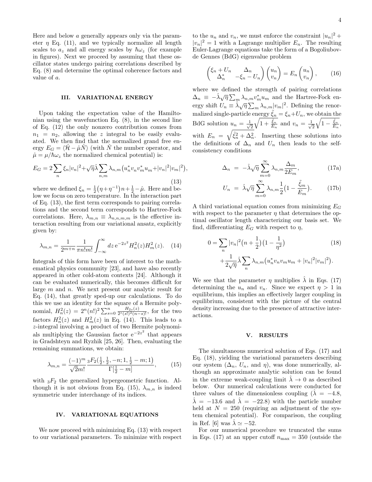Here and below a generally appears only via the parameter  $\eta$  Eq. (11), and we typically normalize all length scales to  $a_z$  and all energy scales by  $\hbar\omega_z$  (for example in figures). Next we proceed by assuming that these oscillator states undergo pairing correlations described by Eq. (8) and determine the optimal coherence factors and value of a.

#### III. VARIATIONAL ENERGY

Upon taking the expectation value of the Hamiltonian using the wavefunction Eq. (8), in the second line of Eq. (12) the only nonzero contribution comes from  $n_1 = n_2$ , allowing the z integral to be easily evaluated. We then find that the normalized grand free energy  $E_G = \langle \hat{\mathcal{H}} - \hat{\mu} \hat{N} \rangle$  (with  $\hat{N}$  the number operator, and  $\hat{\mu} = \mu / \hbar \omega_z$  the normalized chemical potential) is:

$$
E_G = 2\sum_{n} \xi_n |v_n|^2 + \sqrt{\eta} \hat{\lambda} \sum_{n,m} \lambda_{n,m} (u_n^* v_n v_m^* u_m + |v_n|^2 |v_m|^2),
$$
\n(13)

where we defined  $\xi_n = \frac{1}{2} (\eta + \eta^{-1}) n + \frac{1}{2} - \hat{\mu}$ . Here and below we focus on zero temperature. In the interaction part of Eq. (13), the first term corresponds to pairing correlations and the second term corresponds to Hartree-Fock correlations. Here,  $\lambda_{m,n} \equiv \lambda_{n,n,m,m}$  is the effective interaction resulting from our variational ansatz, explicitly given by:

$$
\lambda_{m,n} = \frac{1}{2^{m+n}} \frac{1}{\pi n! m!} \int_{-\infty}^{\infty} dz \, e^{-2z^2} H_n^2(z) H_m^2(z). \tag{14}
$$

Integrals of this form have been of interest to the mathematical physics community [23], and have also recently appeared in other cold-atom contexts [24]. Although it can be evaluated numerically, this becomes difficult for large m and n. We next present our analytic result for Eq. (14), that greatly sped-up our calculations. To do this we use an identity for the square of a Hermite polynomial,  $H_n^2(z) = 2^n(n!)^2 \sum_{s=0}^n \frac{H_{2s}(z)}{2^s(s!)^2(n-s)!}$ , for the two factors  $H_n^2(z)$  and  $H_m^2(z)$  in Eq. (14). This leads to a z-integral involving a product of two Hermite polynomials multiplying the Gaussian factor  $e^{-2z^2}$  that appears in Gradshteyn and Ryzhik [25, 26]. Then, evaluating the remaining summations, we obtain:

$$
\lambda_{m,n} = \frac{(-1)^m}{\sqrt{2}m!} \frac{{}_3F_2(\frac{1}{2},\frac{1}{2},-n;1,\frac{1}{2}-m;1)}{\Gamma[\frac{1}{2}-m]},\tag{15}
$$

with  ${}_{3}F_{2}$  the generalized hypergeometric function. Although it is not obvious from Eq. (15),  $\lambda_{m,n}$  is indeed symmetric under interchange of its indices.

#### IV. VARIATIONAL EQUATIONS

We now proceed with minimizing Eq. (13) with respect to our variational parameters. To minimize with respect

to the  $u_n$  and  $v_n$ , we must enforce the constraint  $|u_n|^2 +$  $|v_n|^2 = 1$  with a Lagrange multiplier  $E_n$ . The resulting Euler-Lagrange equations take the form of a Bogoliubovde Gennes (BdG) eigenvalue problem

$$
\begin{pmatrix} \xi_n + U_n & \Delta_n \\ \Delta_n^* & -\xi_n - U_n \end{pmatrix} \begin{pmatrix} u_n \\ v_n \end{pmatrix} = E_n \begin{pmatrix} u_n \\ v_n \end{pmatrix}, \qquad (16)
$$

where we defined the strength of pairing correlations where we defined the strength of pairing correlations<br> $\Delta_n \equiv -\hat{\lambda}\sqrt{\eta} \sum_m \lambda_{n,m} v_m^* u_m$  and the Hartree-Fock en $e_n$  =  $\cdots \sqrt{n} \sum_m \frac{m}{n} \sum_m \lambda_{n,m} |v_m|^2$ . Defining the renormalized single-particle energy  $\tilde{\xi}_n = \xi_n + U_n$ , we obtain the BdG solution  $u_n = \frac{1}{\sqrt{2}}$ 2  $\sqrt{1 + \frac{\tilde{\xi}_n}{E_n}}$  and  $v_n = \frac{1}{\sqrt{n}}$ 2  $\sqrt{1-\frac{\tilde{\xi}_n}{E_n}},$ with  $E_n = \sqrt{\tilde{\xi}_n^2 + \Delta_n^2}$ . Inserting these solutions into the definitions of  $\Delta_n$  and  $U_n$  then leads to the selfconsistency conditions

$$
\Delta_n = -\hat{\lambda}\sqrt{\eta} \sum_{m=0}^{\infty} \lambda_{n,m} \frac{\Delta_m}{2E_m},
$$
\n(17a)

$$
U_n = \hat{\lambda}\sqrt{\eta} \sum_{m=0}^{\infty} \lambda_{n,m} \frac{1}{2} \left(1 - \frac{\tilde{\xi}_m}{E_m}\right).
$$
 (17b)

A third variational equation comes from minimizing  $E_G$ with respect to the parameter  $\eta$  that determines the optimal oscillator length characterizing our basis set. We find, differentiating  $E_G$  with respect to  $\eta$ ,

$$
0 = \sum_{n} |v_n|^2 (n + \frac{1}{2}) (1 - \frac{1}{\eta^2})
$$
(18)  
+ 
$$
\frac{1}{2\sqrt{\eta}} \hat{\lambda} \sum_{n} \lambda_{n,m} (u_n^* v_n v_m u_m + |v_n|^2 |v_m|^2).
$$

We see that the parameter  $\eta$  multiplies  $\lambda$  in Eqs. (17) determining the  $u_n$  and  $v_n$ . Since we expect  $\eta > 1$  in equilibrium, this implies an effectively larger coupling in equilibrium, consistent with the picture of the central density increasing due to the presence of attractive interactions.

#### V. RESULTS

The simultaneous numerical solution of Eqs. (17) and Eq. (18), yielding the variational parameters describing our system  $(\Delta_n, U_n, \text{ and } \eta)$ , was done numerically, although an approximate analytic solution can be found in the extreme weak-coupling limit  $\lambda \rightarrow 0$  as described below. Our numerical calculations were conducted for three values of the dimensionless coupling ( $\lambda = -4.8$ ,  $\hat{\lambda} = -13.6$  and  $\hat{\lambda} = -22.8$ ) with the particle number held at  $N = 250$  (requiring an adjustment of the system chemical potential). For comparison, the coupling in Ref. [6] was  $\lambda \simeq -52$ .

For our numerical procedure we truncated the sums in Eqs. (17) at an upper cutoff  $n_{\text{max}} = 350$  (outside the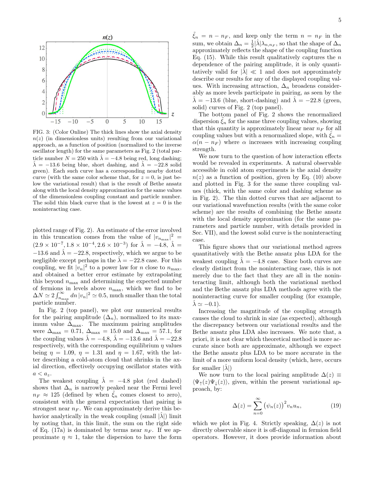

FIG. 3: (Color Online) The thick lines show the axial density  $n(z)$  (in dimensionless units) resulting from our variational approach, as a function of position (normalized to the inverse oscillator length) for the same parameters as Fig. 2 (total particle number  $N = 250$  with  $\hat{\lambda} = -4.8$  being red, long dashing;  $\lambda = -13.6$  being blue, short dashing, and  $\lambda = -22.8$  solid green). Each such curve has a corresponding nearby dotted curve (with the same color scheme that, for  $z = 0$ , is just below the variational result) that is the result of Bethe ansatz along with the local density approximation for the same values of the dimensionless coupling constant and particle number. The solid thin black curve that is the lowest at  $z = 0$  is the noninteracting case.

plotted range of Fig. 2). An estimate of the error involved in this truncation comes from the value of  $|v_{n_{\text{max}}}|^2$  =  $(2.9 \times 10^{-7}, 1.8 \times 10^{-4}, 2.6 \times 10^{-3})$  for  $\hat{\lambda} = -4.8, \hat{\lambda} =$ −13.6 and  $\hat{\lambda}$  = −22.8, respectively, which we argue to be negligible except perhaps in the  $\hat{\lambda} = -22.8$  case. For this coupling, we fit  $|v_n|^2$  to a power law for *n* close to  $n_{\text{max}}$ , and obtained a better error estimate by extrapolating this beyond  $n_{\text{max}}$  and determining the expected number of fermions in levels above  $n_{\text{max}}$ , which we find to be  $\Delta N \simeq 2 \int_{n_{\text{max}}}^{\infty} dn |v_n|^2 \simeq 0.5$ , much smaller than the total particle number.

In Fig. 2 (top panel), we plot our numerical results for the pairing amplitude  $(\Delta_n)$ , normalized to its maximum value  $\Delta_{\text{max}}$ . The maximum pairing amplitudes were  $\Delta_{\text{max}} = 0.71, \Delta_{\text{max}} = 15.0$  and  $\Delta_{\text{max}} = 57.1$ , for the coupling values  $\hat{\lambda} = -4.8$ ,  $\hat{\lambda} = -13.6$  and  $\hat{\lambda} = -22.8$ respectively, with the corresponding equilibrium  $\eta$  values being  $\eta = 1.09$ ,  $\eta = 1.31$  and  $\eta = 1.67$ , with the latter describing a cold-atom cloud that shrinks in the axial direction, effectively occupying oscillator states with  $a < a_z$ .

The weakest coupling  $\hat{\lambda} = -4.8$  plot (red dashed) shows that  $\Delta_n$  is narrowly peaked near the Fermi level  $n_F \approx 125$  (defined by when  $\tilde{\xi}_n$  comes closest to zero), consistent with the general expectation that pairing is strongest near  $n_F$ . We can approximately derive this behavior analytically in the weak coupling (small  $|\lambda\rangle$ ) limit by noting that, in this limit, the sum on the right side of Eq. (17a) is dominated by terms near  $n_F$ . If we approximate  $\eta \approx 1$ , take the dispersion to have the form

 $\xi_n = n - n_F$ , and keep only the term  $n = n_F$  in the sum, we obtain  $\Delta_n = \frac{1}{2} |\hat{\lambda}| \lambda_{n,n_F}$ , so that the shape of  $\Delta_n$ approximately reflects the shape of the coupling function Eq.  $(15)$ . While this result qualitatively captures the *n* dependence of the pairing amplitude, it is only quantitatively valid for  $|\lambda| \ll 1$  and does not approximately describe our results for any of the displayed coupling values. With increasing attraction,  $\Delta_n$  broadens considerably as more levels participate in pairing, as seen by the  $\hat{\lambda} = -13.6$  (blue, short-dashing) and  $\hat{\lambda} = -22.8$  (green, solid) curves of Fig. 2 (top panel).

The bottom panel of Fig. 2 shows the renormalized dispersion  $\xi_n$  for the same three coupling values, showing that this quantity is approximately linear near  $n_F$  for all coupling values but with a renormalized slope, with  $\xi_n =$  $\alpha(n - n_F)$  where  $\alpha$  increases with increasing coupling strength.

We now turn to the question of how interaction effects would be revealed in experiments. A natural observable accessible in cold atom experiments is the axial density  $n(z)$  as a function of position, given by Eq. (10) above and plotted in Fig. 3 for the same three coupling values (thick, with the same color and dashing scheme as in Fig. 2). The thin dotted curves that are adjacent to our variational wavefunction results (with the same color scheme) are the results of combining the Bethe ansatz with the local density approximation (for the same parameters and particle number, with details provided in Sec. VII), and the lowest solid curve is the noninteracting case.

This figure shows that our variational method agrees quantitatively with the Bethe ansatz plus LDA for the weakest coupling  $\hat{\lambda} = -4.8$  case. Since both curves are clearly distinct from the noninteracting case, this is not merely due to the fact that they are all in the noninteracting limit, although both the variational method and the Bethe ansatz plus LDA methods agree with the noninteracting curve for smaller coupling (for example,  $\hat{\lambda} \simeq -0.1$ ).

Increasing the magntitude of the coupling strength causes the cloud to shrink in size (as expected), although the discrepancy between our variational results and the Bethe ansatz plus LDA also increases. We note that, a priori, it is not clear which theoretical method is more accurate since both are approximate, although we expect the Bethe ansatz plus LDA to be more accurate in the limit of a more uniform local density (which, here, occurs for smaller  $|\lambda|$ )

We now turn to the local pairing amplitude  $\Delta(z) \equiv$  $\langle \Psi_{\uparrow}(z)\Psi_{\downarrow}(z)\rangle$ , given, within the present variational approach, by:

$$
\Delta(z) = \sum_{n=0}^{\infty} (\psi_n(z))^2 v_n u_n,
$$
 (19)

which we plot in Fig. 4. Strictly speaking,  $\Delta(z)$  is not directly observable since it is off-diagonal in fermion field operators. However, it does provide information about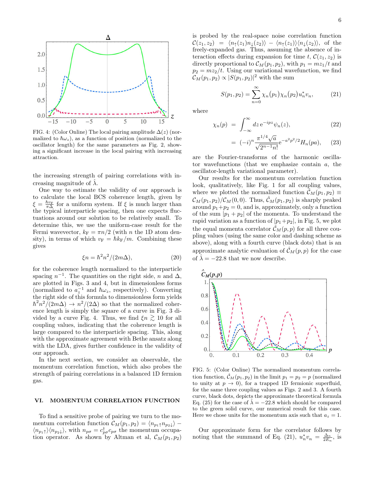

FIG. 4: (Color Online) The local pairing amplitude  $\Delta(z)$  (normalized to  $\hbar\omega_z$ ), as a function of position (normalized to the oscillator length) for the same parameters as Fig. 2, showing a significant increase in the local pairing with increasing attraction.

the increasing strength of pairing correlations with increasing magnitude of  $\lambda$ .

One way to estimate the validity of our approach is to calculate the local BCS coherence length, given by  $\xi = \frac{\hbar v_F}{\pi \Delta}$  for a uniform system. If  $\xi$  is much larger than the typical interparticle spacing, then one expects fluctuations around our solution to be relatively small. To determine this, we use the uniform-case result for the Fermi wavevector,  $k_F = \pi n/2$  (with n the 1D atom density), in terms of which  $v_F = \hbar k_F/m$ . Combining these gives

$$
\xi n = \hbar^2 n^2 / (2m\Delta),\tag{20}
$$

for the coherence length normalized to the interparticle spacing  $n^{-1}$ . The quantities on the right side, n and  $\Delta$ , are plotted in Figs. 3 and 4, but in dimensionless forms (normalized to  $a_z^{-1}$  and  $\hbar\omega_z$ , respectively). Converting the right side of this formula to dimensionless form yields  $\hbar^2 n^2/(2m\Delta) \to n^2/(2\Delta)$  so that the normalized coherence length is simply the square of a curve in Fig. 3 divided by a curve Fig. 4. Thus, we find  $\xi n \gtrsim 10$  for all coupling values, indicating that the coherence length is large compared to the interparticle spacing. This, along with the approximate agreement with Bethe ansatz along with the LDA, gives further confidence in the validity of our approach.

In the next section, we consider an observable, the momentum correlation function, which also probes the strength of pairing correlations in a balanced 1D fermion gas.

#### VI. MOMENTUM CORRELATION FUNCTION

To find a sensitive probe of pairing we turn to the momentum correlation function  $C_M(p_1, p_2) = \langle n_{p_1} \uparrow n_{p_2} \downarrow \rangle$  –  $\langle n_{p_1\uparrow}\rangle\langle n_{p_2\downarrow}\rangle$ , with  $n_{p\sigma}=c^{\dagger}_{p\sigma}c_{p\sigma}$  the momentum occupation operator. As shown by Altman et al,  $\mathcal{C}_M(p_1, p_2)$  is probed by the real-space noise correlation function  $\mathcal{C}(z_1, z_2) = \langle n_1(z_1)n_1(z_2)\rangle - \langle n_1(z_1)\rangle\langle n_1(z_2)\rangle$ , of the freely-expanded gas. Thus, assuming the absence of interaction effects during expansion for time t,  $\mathcal{C}(z_1, z_2)$  is directly proportional to  $\mathcal{C}_M(p_1, p_2)$ , with  $p_1 = mz_1/t$  and  $p_2 = mz_2/t$ . Using our variational wavefunction, we find  $\mathcal{C}_M(p_1, p_2) \propto |S(p_1, p_2)|^2$  with the sum

$$
S(p_1, p_2) = \sum_{n=0}^{\infty} \chi_n(p_1) \chi_n(p_2) u_n^* v_n, \qquad (21)
$$

where

$$
\chi_n(p) = \int_{-\infty}^{\infty} dz \, e^{-ipz} \psi_n(z), \tag{22}
$$

$$
= (-i)^n \frac{\pi^{1/4} \sqrt{a}}{\sqrt{2^{n-1} n!}} e^{-a^2 p^2/2} H_n(pa), \quad (23)
$$

are the Fourier-transforms of the harmonic oscillator wavefunctions (that we emphasize contain  $a$ , the oscillator-length variational parameter).

Our results for the momentum correlation function look, qualitatively, like Fig. 1 for all coupling values, where we plotted the normalized function  $\mathcal{C}_M(p_1, p_2) \equiv$  $\mathcal{C}_M(p_1, p_2)/\mathcal{C}_M(0, 0)$ . Thus,  $\mathcal{C}_M(p_1, p_2)$  is sharply peaked around  $p_1+p_2=0$ , and is, approximately, only a function of the sum  $|p_1 + p_2|$  of the momenta. To understand the rapid variation as a function of  $|p_1+p_2|$ , in Fig. 5, we plot the equal momenta correlator  $\mathcal{C}_M(p,p)$  for all three coupling values (using the same color and dashing scheme as above), along with a fourth curve (black dots) that is an approximate analytic evaluation of  $\hat{\mathcal{C}}_M(p,p)$  for the case of  $\hat{\lambda} = -22.8$  that we now describe.



FIG. 5: (Color Online) The normalized momentum correlation function,  $\mathcal{C}_M(p_1, p_2)$  in the limit  $p_1 = p_2 = p$  (normalized to unity at  $p \to 0$ , for a trapped 1D fermionic superfluid, for the same three coupling values as Figs. 2 and 3. A fourth curve, black dots, depicts the approximate theoretical formula Eq. (25) for the case of  $\lambda = -22.8$  which should be compared to the green solid curve, our numerical result for this case. Here we chose units for the momentum axis such that  $a_z = 1$ .

Our approximate form for the correlator follows by noting that the summand of Eq. (21),  $u_n^* v_n = \frac{\Delta_n}{2E_n}$ , is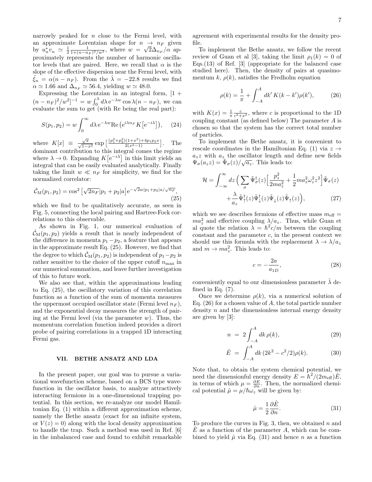narrowly peaked for  $n$  close to the Fermi level, with an approximate Lorentzian shape for  $n \rightarrow n_F$  given by  $u_n^* v_n \simeq \frac{1}{2} \frac{1}{1 + (n - n_F)^2 / w^2}$ , where  $w = \sqrt{2} \Delta_{n_F}/\alpha$  approximately represents the number of harmonic oscillator levels that are paired. Here, we recall that  $\alpha$  is the slope of the effective dispersion near the Fermi level, with  $\tilde{\xi}_n = \alpha (n - n_F)$ . From the  $\hat{\lambda} = -22.8$  results we find  $\alpha \simeq 1.66$  and  $\Delta_{n_F} \simeq 56.4$ , yielding  $w \simeq 48.0$ .

Expressing the Lorentzian in an integral form,  $[1 +$  $(n - n_F)^2/w^2$ ]<sup>-1</sup> =  $w \int_0^{\lambda} d\lambda \, e^{-\lambda w} \cos \lambda (n - n_F)$ , we can evaluate the sum to get (with Re being the real part):

$$
S(p_1, p_2) = w \int_0^\infty d\lambda \, \mathrm{e}^{-\lambda w} \mathrm{Re} \left( \mathrm{e}^{i\lambda n_F} K \left[ \mathrm{e}^{-i\lambda} \right] \right), \quad (24)
$$

where  $K[x] \equiv \frac{\sqrt{\pi}}{\sqrt{1-x^2}} \exp \left[ \frac{(p_1^2+p_2^2)(1+x^2)+4p_1p_2x}{2(x^2-1)} \right]$ . The dominant contribution to this integral comes the regime where  $\lambda \to 0$ . Expanding  $K[e^{-i\lambda}]$  in this limit yields an integral that can be easily evaluated analytically. Finally taking the limit  $w \ll n_F$  for simplicity, we find for the normalized correlator:

$$
\hat{\mathcal{C}}_{\mathcal{M}}(p_1, p_2) = \cos^2 \left[ \sqrt{2n_F} |p_1 + p_2| a \right] e^{-\sqrt{2}w|p_1 + p_2|a/\sqrt{n_F}},\tag{25}
$$

which we find to be qualitatively accurate, as seen in Fig. 5, connecting the local pairing and Hartree-Fock correlations to this observable.

As shown in Fig. 1, our numerical evaluation of  $\mathcal{C}_{\mathcal{M}}(p_1, p_2)$  yields a result that is nearly independent of the difference in momenta  $p_1 - p_2$ , a feature that appears in the approximate result Eq. (25). However, we find that the degree to which  $\mathcal{C}_M(p_1, p_2)$  is independent of  $p_1-p_2$  is rather sensitive to the choice of the upper cutoff  $n_{\text{max}}$  in our numerical summation, and leave further investigation of this to future work.

We also see that, within the approximations leading to Eq. (25), the oscillatory variation of this correlation function as a function of the sum of momenta measures the uppermost occupied oscillator state (Fermi level  $n_F$ ), and the exponential decay measures the strength of pairing at the Fermi level (via the parameter  $w$ ). Thus, the momentum correlation function indeed provides a direct probe of pairing correlations in a trapped 1D interacting Fermi gas.

#### VII. BETHE ANSATZ AND LDA

In the present paper, our goal was to pursue a variational wavefunction scheme, based on a BCS type wavefunction in the oscillator basis, to analyze attractively interacting fermions in a one-dimensional trapping potential. In this section, we re-analyze our model Hamiltonian Eq. (1) within a different approximation scheme, namely the Bethe ansatz (exact for an infinite system, or  $V(z) = 0$ ) along with the local density approximation to handle the trap. Such a method was used in Ref. [6] in the imbalanced case and found to exhibit remarkable

agreement with experimental results for the density profile.

To implement the Bethe ansatz, we follow the recent review of Guan et al [3], taking the limit  $\rho_1(k) = 0$  of Eqs.(13) of Ref. [3] (appropriate for the balanced case studied here). Then, the density of pairs at quasimomentum k,  $\rho(k)$ , satisfies the Fredholm equation

$$
\rho(k) = \frac{1}{\pi} + \int_{-A}^{A} dk' K(k - k') \rho(k'), \tag{26}
$$

with  $K(x) = \frac{1}{\pi} \frac{c}{c^2 + x^2}$ , where c is proportional to the 1D coupling constant (as defined below) The parameter A is chosen so that the system has the correct total number of particles.

To implement the Bethe ansatz, it is convenient to rescale coordinates in the Hamiltonian Eq. (1) via  $z \rightarrow$  $a_z z$  with  $a_z$  the oscillator length and define new fields  $\Psi_{\sigma}(a_z z) = \tilde{\Psi}_{\sigma}(z) / \sqrt{a_z}$ . This leads to:

$$
\mathcal{H} = \int_{-\infty}^{\infty} dz \left( \sum_{\sigma} \tilde{\Psi}_{\sigma}^{\dagger}(z) \left[ \frac{p_z^2}{2ma_z^2} + \frac{1}{2} ma_z^2 \omega_z^2 z^2 \right] \tilde{\Psi}_{\sigma}(z) + \frac{\lambda}{a_z} \tilde{\Psi}_{\uparrow}^{\dagger}(z) \tilde{\Psi}_{\downarrow}^{\dagger}(z) \tilde{\Psi}_{\downarrow}(z) \tilde{\Psi}_{\uparrow}(z) \right), \tag{27}
$$

which we see describes fermions of effective mass  $m_{\text{eff}} =$  $ma_z^2$  and effective coupling  $\lambda/a_z$ . Thus, while Guan et al quote the relation  $\lambda = \hbar^2 c/m$  between the coupling constant and the parameter  $c$ , in the present context we should use this formula with the replacement  $\lambda \to \lambda/a_z$ and  $m \to ma_z^2$ . This leads to:

$$
c = -\frac{2a}{a_{1D}},\tag{28}
$$

conveniently equal to our dimensionless parameter  $\lambda$  defined in Eq.  $(7)$ .

Once we determine  $\rho(k)$ , via a numerical solution of Eq.  $(26)$  for a chosen value of A, the total particle number density  $n$  and the dimensionless internal energy density are given by [3]:

$$
n = 2 \int_{-A}^{A} dk \, \rho(k), \tag{29}
$$

$$
\hat{E} = \int_{-A}^{A} dk \, (2k^2 - c^2/2)\rho(k). \tag{30}
$$

Note that, to obtain the system chemical potential, we need the dimensionful energy density  $E = \hbar^2/(2m_{\text{eff}})\hat{E}$ , in terms of which  $\mu = \frac{\partial E}{\partial n}$ . Then, the normalized chemical potential  $\hat{\mu} = \mu / \hbar \omega_z$  will be given by:

$$
\hat{\mu} = \frac{1}{2} \frac{\partial \hat{E}}{\partial n}.
$$
\n(31)

To produce the curves in Fig. 3, then, we obtained  $n$  and  $E$  as a function of the parameter  $A$ , which can be combined to yield  $\hat{\mu}$  via Eq. (31) and hence n as a function